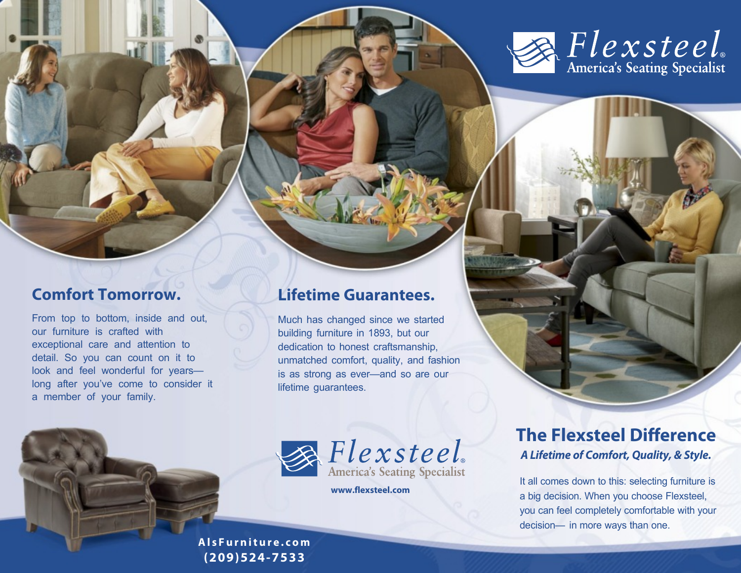

## **Comfort Tomorrow.**

From top to bottom, inside and out, our furniture is crafted with exceptional care and attention to detail. So you can count on it to look and feel wonderful for years long after you've come to consider it a member of your family.

### **Lifetime Guarantees.**

Much has changed since we started building furniture in 1893, but our dedication to honest craftsmanship, unmatched comfort, quality, and fashion is as strong as ever—and so are our lifetime guarantees.





**www.flexsteel.com**

## **The Flexsteel Difference** *A Lifetime of Comfort, Quality, & Style.*

It all comes down to this: selecting furniture is a big decision. When you choose Flexsteel, you can feel completely comfortable with your decision— in more ways than one.

**A l s F u r n i t u r e . c o m (209)524-7533**